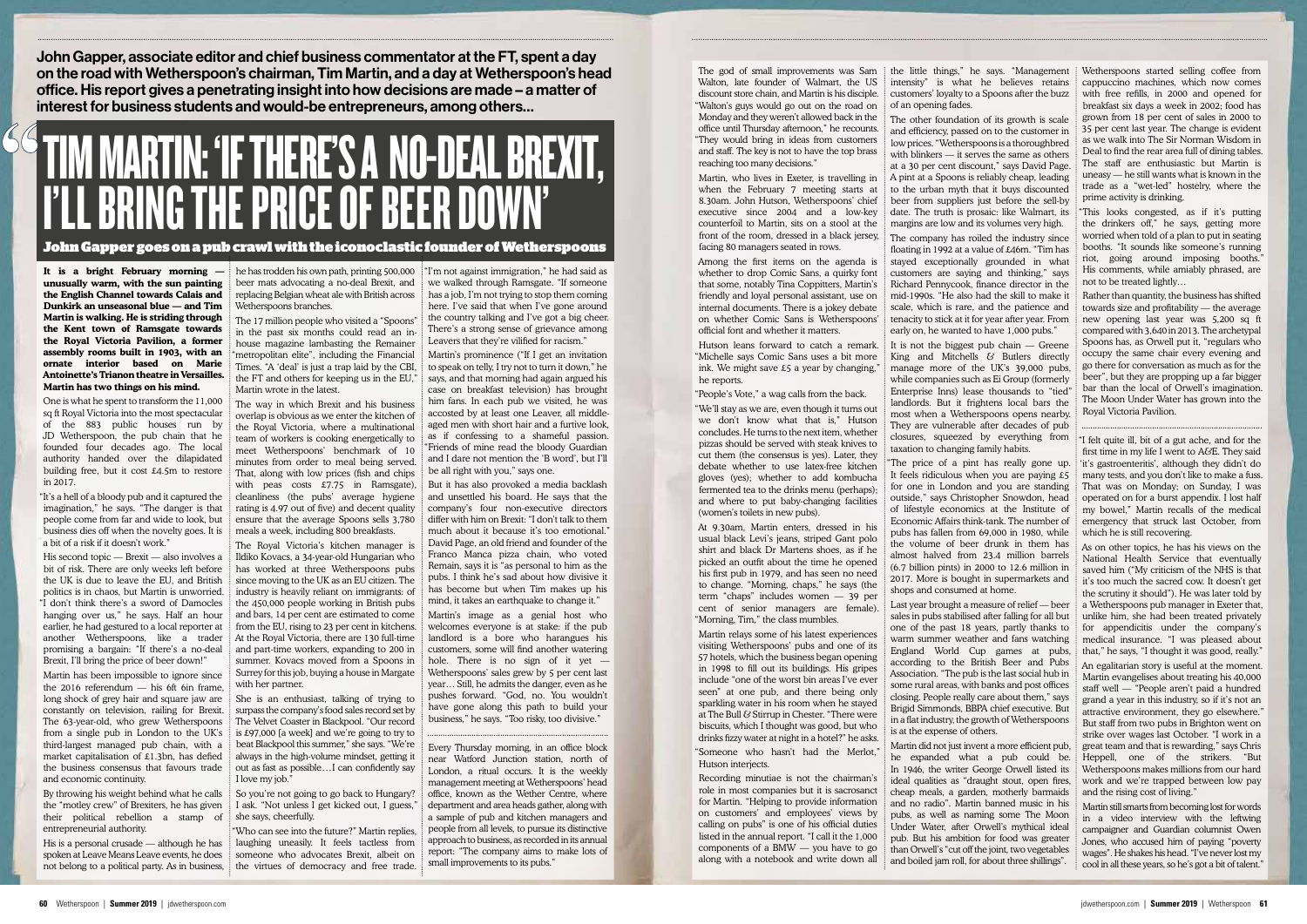John Gapper, associate editor and chief business commentator at the FT, spent a day on the road with Wetherspoon's chairman, Tim Martin, and a day at Wetherspoon's head office. His report gives a penetrating insight into how decisions are made – a matter of interest for business students and would-be entrepreneurs, among others…

# TIM MARTIN: 'IF THERE'S A NO-DEAL BREXIT, I'LL BRING THE PRICE OF BEER DOWN'

### John Gapper goes on a pub crawl with the iconoclastic founder of Wetherspoons

The god of small improvements was Sam the little things," he says. "Management Walton, late founder of Walmart, the US discount store chain, and Martin is his disciple. "Walton's guys would go out on the road on Monday and they weren't allowed back in the office until Thursday afternoon," he recounts. "They would bring in ideas from customers and staff. The key is not to have the top brass reaching too many decisions."

Martin, who lives in Exeter, is travelling in when the February 7 meeting starts at 8.30am. John Hutson, Wetherspoons' chief executive since 2004 and a low-key counterfoil to Martin, sits on a stool at the front of the room, dressed in a black jersey, facing 80 managers seated in rows.

Among the first items on the agenda is whether to drop Comic Sans, a quirky font that some, notably Tina Coppitters, Martin's friendly and loyal personal assistant, use on internal documents. There is a jokey debate on whether Comic Sans is Wetherspoons' official font and whether it matters.

Hutson leans forward to catch a remark. "Michelle says Comic Sans uses a bit more ink. We might save £5 a year by changing," he reports.

"People's Vote," a wag calls from the back.

"We'll stay as we are, even though it turns out we don't know what that is." Hutson concludes. He turns to the next item, whether pizzas should be served with steak knives to cut them (the consensus is yes). Later, they debate whether to use latex-free kitchen gloves (yes); whether to add kombucha fermented tea to the drinks menu (perhaps): and where to put baby-changing facilities (women's toilets in new pubs).

At 9.30am, Martin enters, dressed in his usual black Levi's jeans, striped Gant polo shirt and black Dr Martens shoes, as if he picked an outfit about the time he opened his first pub in 1979, and has seen no need to change. "Morning, chaps," he says (the term "chaps" includes women — 39 per cent of senior managers are female). "Morning, Tim," the class mumbles.

Martin relays some of his latest experiences visiting Wetherspoons' pubs and one of its 57 hotels, which the business began opening in 1998 to fill out its buildings. His gripes include "one of the worst bin areas I've ever seen" at one pub, and there being only sparkling water in his room when he stayed at The Bull & Stirrup in Chester. "There were biscuits, which I thought was good, but who drinks fizzy water at night in a hotel?" he asks. "Someone who hasn't had the Merlot,"

Hutson interjects.

Recording minutiae is not the chairman's role in most companies but it is sacrosanct for Martin. "Helping to provide information on customers' and employees' views by calling on pubs" is one of his official duties listed in the annual report. "I call it the 1,000 components of a BMW — you have to go along with a notebook and write down all

intensity" is what he believes retains customers' loyalty to a Spoons after the buzz of an opening fades.

The other foundation of its growth is scale and efficiency, passed on to the customer in low prices. "Wetherspoons is a thoroughbred with blinkers — it serves the same as others at a 30 per cent discount," says David Page. A pint at a Spoons is reliably cheap, leading to the urban myth that it buys discounted beer from suppliers just before the sell-by date. The truth is prosaic: like Walmart, its margins are low and its volumes very high.

The company has roiled the industry since floating in 1992 at a value of £46m. "Tim has stayed exceptionally grounded in what customers are saying and thinking," says Richard Pennycook, finance director in the mid-1990s. "He also had the skill to make it scale, which is rare, and the patience and tenacity to stick at it for year after year. From early on, he wanted to have 1,000 pubs."

It is not the biggest pub chain — Greene King and Mitchells & Butlers directly manage more of the UK's 39,000 pubs, while companies such as Ei Group (formerly Enterprise Inns) lease thousands to "tied" landlords. But it frightens local bars the most when a Wetherspoons opens nearby. They are vulnerable after decades of pub closures, squeezed by everything from taxation to changing family habits. "The price of a pint has really gone up. It feels ridiculous when you are paying £5 for one in London and you are standing outside," says Christopher Snowdon, head of lifestyle economics at the Institute of Economic Affairs think-tank. The number of pubs has fallen from 69,000 in 1980, while the volume of beer drunk in them has almost halved from 23.4 million barrels (6.7 billion pints) in 2000 to 12.6 million in 2017. More is bought in supermarkets and shops and consumed at home.

Last year brought a measure of relief — beer sales in pubs stabilised after falling for all but one of the past 18 years, partly thanks to warm summer weather and fans watching England World Cup games at pubs, according to the British Beer and Pubs Association. "The pub is the last social hub in some rural areas, with banks and post offices closing. People really care about them," says Brigid Simmonds, BBPA chief executive. But in a flat industry, the growth of Wetherspoons is at the expense of others.

he has trodden his own path, printing 500,000 beer mats advocating a no-deal Brexit, and replacing Belgian wheat ale with British across Wetherspoons branches.

> Martin did not just invent a more efficient pub, he expanded what a pub could be. In 1946, the writer George Orwell listed its ideal qualities as "draught stout, open fires, cheap meals, a garden, motherly barmaids and no radio". Martin banned music in his pubs, as well as naming some The Moon Under Water, after Orwell's mythical ideal pub. But his ambition for food was greater than Orwell's "cut off the joint, two vegetables and boiled jam roll, for about three shillings".

Wetherspoons started selling coffee from cappuccino machines, which now comes with free refills, in 2000 and opened for breakfast six days a week in 2002; food has grown from 18 per cent of sales in 2000 to 35 per cent last year. The change is evident as we walk into The Sir Norman Wisdom in Deal to find the rear area full of dining tables. The staff are enthusiastic but Martin is uneasy — he still wants what is known in the trade as a "wet-led" hostelry, where the prime activity is drinking.

"This looks congested, as if it's putting the drinkers off," he says, getting more worried when told of a plan to put in seating booths. "It sounds like someone's running riot, going around imposing booths." His comments, while amiably phrased, are not to be treated lightly…

Rather than quantity, the business has shifted towards size and profitability — the average new opening last year was 5,200 sq ft compared with 3,640 in 2013. The archetypal Spoons has, as Orwell put it, "regulars who occupy the same chair every evening and go there for conversation as much as for the beer", but they are propping up a far bigger bar than the local of Orwell's imagination. The Moon Under Water has grown into the Royal Victoria Pavilion.

"I felt quite ill, bit of a gut ache, and for the first time in my life I went to A&E. They said 'it's gastroenteritis', although they didn't do many tests, and you don't like to make a fuss. That was on Monday; on Sunday, I was operated on for a burst appendix. I lost half my bowel," Martin recalls of the medical emergency that struck last October, from which he is still recovering.

As on other topics, he has his views on the National Health Service that eventually saved him ("My criticism of the NHS is that it's too much the sacred cow. It doesn't get the scrutiny it should"). He was later told by a Wetherspoons pub manager in Exeter that, unlike him, she had been treated privately for appendicitis under the company's medical insurance. "I was pleased about that," he says, "I thought it was good, really." An egalitarian story is useful at the moment.

Martin evangelises about treating his 40,000 staff well — "People aren't paid a hundred grand a year in this industry, so if it's not an attractive environment, they go elsewhere." But staff from two pubs in Brighton went on strike over wages last October. "I work in a great team and that is rewarding," says Chris Heppell, one of the strikers. "But Wetherspoons makes millions from our hard work and we're trapped between low pay and the rising cost of living."

Martin still smarts from becoming lost for words in a video interview with the leftwing campaigner and Guardian columnist Owen Jones, who accused him of paying "poverty wages". He shakes his head. "I've never lost my cool in all these years, so he's got a bit of talent."

**It is a bright February morning unusually warm, with the sun painting the English Channel towards Calais and Dunkirk an unseasonal blue — and Tim Martin is walking. He is striding through the Kent town of Ramsgate towards the Royal Victoria Pavilion, a former assembly rooms built in 1903, with an ornate interior based on Marie Antoinette's Trianon theatre in Versailles. Martin has two things on his mind.** 

One is what he spent to transform the 11,000 sq ft Royal Victoria into the most spectacular of the 883 public houses run by JD Wetherspoon, the pub chain that he founded four decades ago. The local authority handed over the dilapidated building free, but it cost £4.5m to restore in 2017.

"It's a hell of a bloody pub and it captured the imagination," he says. "The danger is that people come from far and wide to look, but business dies off when the novelty goes. It is a bit of a risk if it doesn't work."

His second topic — Brexit — also involves a bit of risk. There are only weeks left before the UK is due to leave the EU, and British politics is in chaos, but Martin is unworried. "I don't think there's a sword of Damocles hanging over us," he says. Half an hour earlier, he had gestured to a local reporter at another Wetherspoons, like a trader promising a bargain: "If there's a no-deal Brexit, I'll bring the price of beer down!"

Martin has been impossible to ignore since the 2016 referendum — his 6ft 6in frame, long shock of grey hair and square jaw are constantly on television, railing for Brexit. The 63-year-old, who grew Wetherspoons from a single pub in London to the UK's third-largest managed pub chain, with a market capitalisation of £1.3bn, has defied the business consensus that favours trade and economic continuity.

By throwing his weight behind what he calls the "motley crew" of Brexiters, he has given their political rebellion a stamp of entrepreneurial authority.

His is a personal crusade — although he has spoken at Leave Means Leave events, he does not belong to a political party. As in business,

The 17 million people who visited a "Spoons" in the past six months could read an inhouse magazine lambasting the Remainer "metropolitan elite", including the Financial Times. "A 'deal' is just a trap laid by the CBI, the FT and others for keeping us in the EU," Martin wrote in the latest.

The way in which Brexit and his business overlap is obvious as we enter the kitchen of the Royal Victoria, where a multinational team of workers is cooking energetically to meet Wetherspoons' benchmark of 10 minutes from order to meal being served. That, along with low prices (fish and chips with peas costs £7.75 in Ramsgate), cleanliness (the pubs' average hygiene rating is 4.97 out of five) and decent quality ensure that the average Spoons sells 3,780 meals a week, including 800 breakfasts.

The Royal Victoria's kitchen manager is Ildiko Kovacs, a 34-year-old Hungarian who has worked at three Wetherspoons pubs since moving to the UK as an EU citizen. The industry is heavily reliant on immigrants: of the 450,000 people working in British pubs and bars, 14 per cent are estimated to come from the EU, rising to 23 per cent in kitchens. At the Royal Victoria, there are 130 full-time and part-time workers, expanding to 200 in summer. Kovacs moved from a Spoons in Surrey for this job, buying a house in Margate with her partner.

She is an enthusiast, talking of trying to surpass the company's food sales record set by The Velvet Coaster in Blackpool. "Our record is £97,000 [a week] and we're going to try to beat Blackpool this summer," she says. "We're always in the high-volume mindset, getting it out as fast as possible...I can confidently say I love my job."

So you're not going to go back to Hungary? I ask. "Not unless I get kicked out, I guess," she says, cheerfully.

"Who can see into the future?" Martin replies, laughing uneasily. It feels tactless from someone who advocates Brexit, albeit on the virtues of democracy and free trade.

"I'm not against immigration," he had said as we walked through Ramsgate. "If someone has a job, I'm not trying to stop them coming here. I've said that when I've gone around the country talking and I've got a big cheer. There's a strong sense of grievance among Leavers that they're vilified for racism."

Martin's prominence ("If I get an invitation to speak on telly, I try not to turn it down," he says, and that morning had again argued his case on breakfast television) has brought him fans. In each pub we visited, he was accosted by at least one Leaver, all middleaged men with short hair and a furtive look, as if confessing to a shameful passion. "Friends of mine read the bloody Guardian and I dare not mention the 'B word', but I'll be all right with you," says one.

But it has also provoked a media backlash and unsettled his board. He says that the company's four non-executive directors differ with him on Brexit: "I don't talk to them much about it because it's too emotional." David Page, an old friend and founder of the Franco Manca pizza chain, who voted Remain, says it is "as personal to him as the pubs. I think he's sad about how divisive it has become but when Tim makes up his mind, it takes an earthquake to change it."

Martin's image as a genial host who welcomes everyone is at stake: if the pub landlord is a bore who harangues his customers, some will find another watering hole. There is no sign of it yet — Wetherspoons' sales grew by 5 per cent last year… Still, he admits the danger, even as he pushes forward. "God, no. You wouldn't have gone along this path to build your business," he says. "Too risky, too divisive."

Every Thursday morning, in an office block near Watford Junction station, north of London, a ritual occurs. It is the weekly management meeting at Wetherspoons' head office, known as the Wether Centre, where department and area heads gather, along with a sample of pub and kitchen managers and people from all levels, to pursue its distinctive approach to business, as recorded in its annual report: "The company aims to make lots of small improvements to its pubs."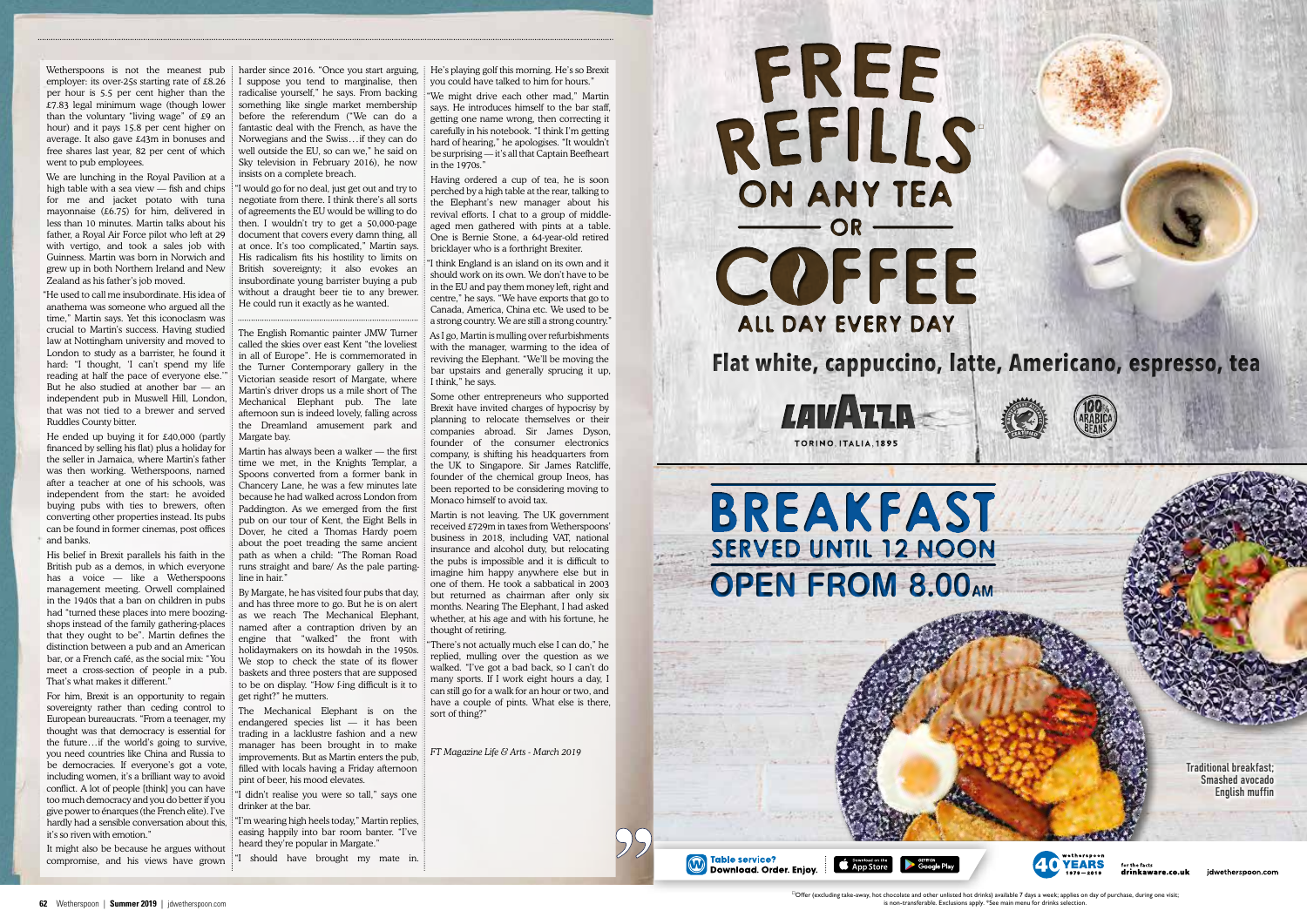employer: its over-25s starting rate of £8.26 per hour is 5.5 per cent higher than the £7.83 legal minimum wage (though lower than the voluntary "living wage" of £9 an hour) and it pays 15.8 per cent higher on average. It also gave £43m in bonuses and free shares last year, 82 per cent of which went to pub employees.

We are lunching in the Royal Pavilion at a high table with a sea view — fish and chips for me and jacket potato with tuna mayonnaise (£6.75) for him, delivered in less than 10 minutes. Martin talks about his father, a Royal Air Force pilot who left at 29 with vertigo, and took a sales job with Guinness. Martin was born in Norwich and grew up in both Northern Ireland and New Zealand as his father's job moved.

"He used to call me insubordinate. His idea of anathema was someone who argued all the time," Martin says. Yet this iconoclasm was crucial to Martin's success. Having studied law at Nottingham university and moved to London to study as a barrister, he found it hard: "I thought, 'I can't spend my life reading at half the pace of everyone else.'" But he also studied at another bar — an independent pub in Muswell Hill, London, that was not tied to a brewer and served Ruddles County bitter.

He ended up buying it for £40,000 (partly financed by selling his flat) plus a holiday for the seller in Jamaica, where Martin's father was then working. Wetherspoons, named after a teacher at one of his schools, was independent from the start: he avoided buying pubs with ties to brewers, often converting other properties instead. Its pubs can be found in former cinemas, post offices and banks.

Wetherspoons is not the meanest pub harder since 2016. "Once you start arguing, I suppose you tend to marginalise, then radicalise yourself," he says. From backing something like single market membership before the referendum ("We can do a fantastic deal with the French, as have the Norwegians and the Swiss...if they can do well outside the EU, so can we," he said on Sky television in February 2016), he now insists on a complete breach.

His belief in Brexit parallels his faith in the British pub as a demos, in which everyone has a voice — like a Wetherspoons management meeting. Orwell complained in the 1940s that a ban on children in pubs had "turned these places into mere boozingshops instead of the family gathering-places that they ought to be". Martin defines the distinction between a pub and an American bar, or a French café, as the social mix: "You meet a cross-section of people in a pub. That's what makes it different."

For him, Brexit is an opportunity to regain sovereignty rather than ceding control to European bureaucrats. "From a teenager, my thought was that democracy is essential for the future...if the world's going to survive, you need countries like China and Russia to be democracies. If everyone's got a vote, including women, it's a brilliant way to avoid conflict. A lot of people [think] you can have too much democracy and you do better if you give power to énarques (the French elite). I've hardly had a sensible conversation about this, it's so riven with emotion."

I think England is an island on its own and it should work on its own. We don't have to be in the EU and pay them money left, right and centre," he says. "We have exports that go to Canada, America, China etc. We used to be a strong country. We are still a strong country."

"I would go for no deal, just get out and try to negotiate from there. I think there's all sorts of agreements the EU would be willing to do then. I wouldn't try to get a 50,000-page document that covers every damn thing, all at once. It's too complicated," Martin says. His radicalism fits his hostility to limits on British sovereignty: it also evokes an insubordinate young barrister buying a pub without a draught beer tie to any brewer. He could run it exactly as he wanted.

> There's not actually much else I can do," he replied, mulling over the question as we walked. "I've got a bad back, so I can't do many sports. If I work eight hours a day, I can still go for a walk for an hour or two, and have a couple of pints. What else is there, sort of thing?"

The English Romantic painter JMW Turner called the skies over east Kent "the loveliest in all of Europe". He is commemorated in the Turner Contemporary gallery in the Victorian seaside resort of Margate, where Martin's driver drops us a mile short of The Mechanical Elephant pub. The late afternoon sun is indeed lovely, falling across the Dreamland amusement park and Margate bay.

**62** Wetherspoon | **Summer 2019** | jdwetherspoon.com jdwetherspoon.com | **Summer 2019** | Wetherspoon **63** □Offer (excluding take-away, hot chocolate and other unlisted hot drinks) available 7 days a week; applies on day of purchase, during one visit; is non-transferable. Exclusions apply. \*See main menu for drinks selection.

It might also be because he argues without compromise, and his views have grown "I should have brought my mate in.

Martin has always been a walker — the first time we met, in the Knights Templar, a Spoons converted from a former bank in Chancery Lane, he was a few minutes late because he had walked across London from Paddington. As we emerged from the first pub on our tour of Kent, the Eight Bells in Dover, he cited a Thomas Hardy poem about the poet treading the same ancient path as when a child: "The Roman Road runs straight and bare/ As the pale partingline in hair."

By Margate, he has visited four pubs that day, and has three more to go. But he is on alert as we reach The Mechanical Elephant, named after a contraption driven by an engine that "walked" the front with holidaymakers on its howdah in the 1950s. We stop to check the state of its flower baskets and three posters that are supposed to be on display. "How f-ing difficult is it to get right?" he mutters.

The Mechanical Elephant is on the endangered species list — it has been trading in a lacklustre fashion and a new manager has been brought in to make improvements. But as Martin enters the pub, filled with locals having a Friday afternoon pint of beer, his mood elevates.

"I didn't realise you were so tall," says one drinker at the bar.

"I'm wearing high heels today," Martin replies, easing happily into bar room banter. "I've heard they're popular in Margate."

He's playing golf this morning. He's so Brexit you could have talked to him for hours."

"We might drive each other mad," Martin says. He introduces himself to the bar staff, getting one name wrong, then correcting it carefully in his notebook. "I think I'm getting hard of hearing," he apologises. "It wouldn't be surprising — it's all that Captain Beefheart in the 1970s."

Having ordered a cup of tea, he is soon perched by a high table at the rear, talking to the Elephant's new manager about his revival efforts. I chat to a group of middleaged men gathered with pints at a table. One is Bernie Stone, a 64-year-old retired bricklayer who is a forthright Brexiter.

As I go, Martin is mulling over refurbishments with the manager, warming to the idea of reviving the Elephant. "We'll be moving the bar upstairs and generally sprucing it up, I think," he says.

Some other entrepreneurs who supported Brexit have invited charges of hypocrisy by planning to relocate themselves or their companies abroad. Sir James Dyson, founder of the consumer electronics company, is shifting his headquarters from the UK to Singapore. Sir James Ratcliffe, founder of the chemical group Ineos, has been reported to be considering moving to Monaco himself to avoid tax.

Martin is not leaving. The UK government received £729m in taxes from Wetherspoons' business in 2018, including VAT, national insurance and alcohol duty, but relocating the pubs is impossible and it is difficult to imagine him happy anywhere else but in one of them. He took a sabbatical in 2003 but returned as chairman after only six months. Nearing The Elephant, I had asked whether, at his age and with his fortune, he thought of retiring.

*FT Magazine Life & Arts - March 2019*

FREE **REFILLS** ON ANY TEA  $OR$  – COFFEE ALL DAY EVERY DAY **Flat white, cappuccino, latte, Americano, espresso, tea** *LAVATIA* 

TORINO, ITALIA, 1895









Traditional breakfast; Smashed avocado English muffin



the fact drinkaware.co.uk

idwetherspoon.com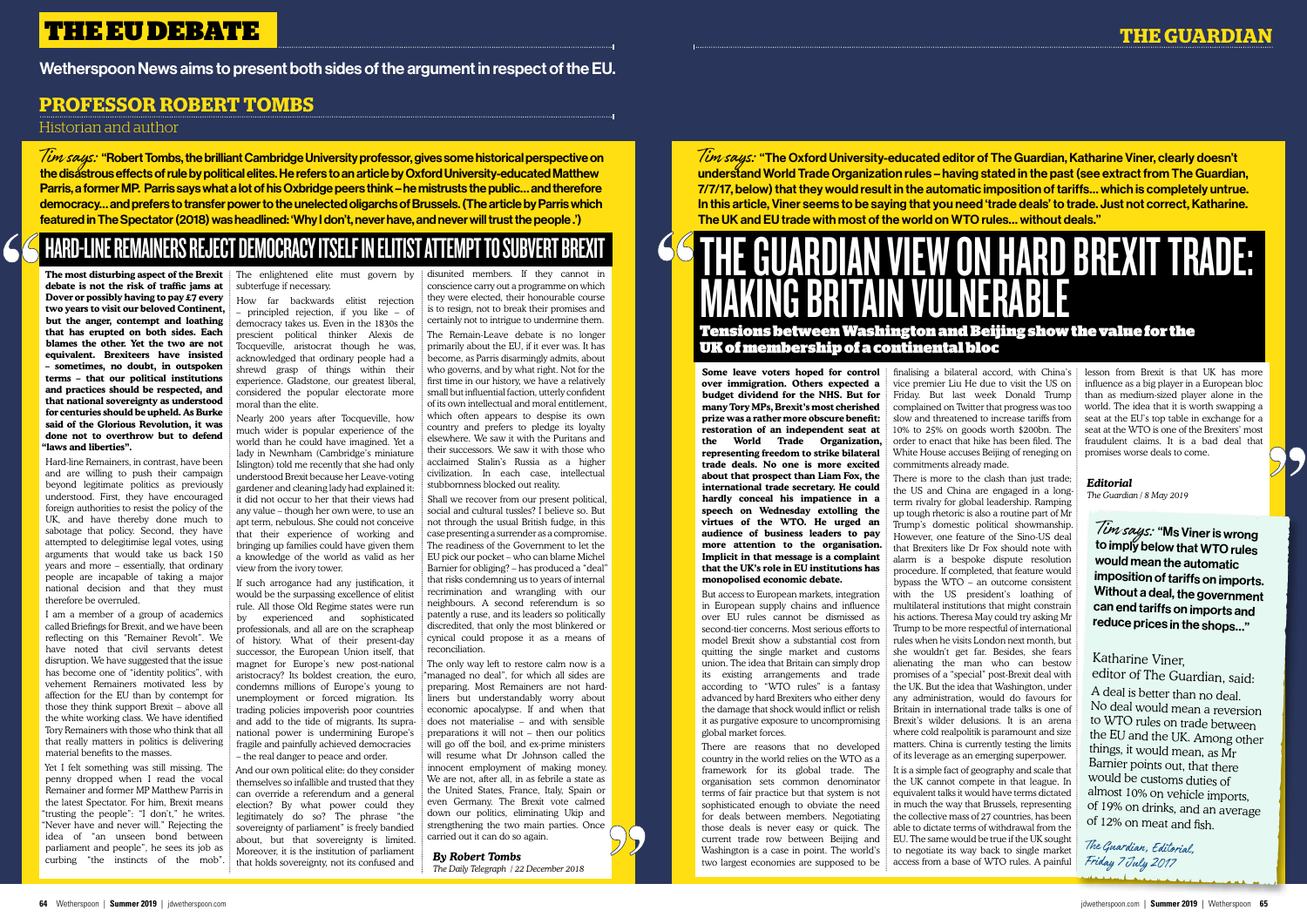# **THE GUARDIAN**

# **PROFESSOR ROBERT TOMBS**

## Historian and author

**The most disturbing aspect of the Brexit debate is not the risk of traffic jams at Dover or possibly having to pay £7 every two years to visit our beloved Continent, but the anger, contempt and loathing that has erupted on both sides. Each blames the other. Yet the two are not equivalent. Brexiteers have insisted – sometimes, no doubt, in outspoken terms – that our political institutions and practices should be respected, and that national sovereignty as understood for centuries should be upheld. As Burke said of the Glorious Revolution, it was done not to overthrow but to defend "laws and liberties".**

Hard-line Remainers, in contrast, have been and are willing to push their campaign beyond legitimate politics as previously understood. First, they have encouraged foreign authorities to resist the policy of the UK, and have thereby done much to sabotage that policy. Second, they have attempted to delegitimise legal votes, using arguments that would take us back 150 years and more – essentially, that ordinary people are incapable of taking a major national decision and that they must therefore be overruled.

I am a member of a group of academics called Briefings for Brexit, and we have been reflecting on this "Remainer Revolt". We have noted that civil servants detest disruption. We have suggested that the issue has become one of "identity politics", with vehement Remainers motivated less by affection for the EU than by contempt for those they think support Brexit – above all the white working class. We have identified Tory Remainers with those who think that all that really matters in politics is delivering material benefits to the masses.

Yet I felt something was still missing. The penny dropped when I read the vocal Remainer and former MP Matthew Parris in the latest Spectator. For him, Brexit means "trusting the people": "I don't," he writes. "Never have and never will." Rejecting the idea of "an unseen bond between parliament and people", he sees its job as curbing "the instincts of the mob".

The enlightened elite must govern by subterfuge if necessary.

How far backwards elitist rejection – principled rejection, if you like – of democracy takes us. Even in the 1830s the prescient political thinker Alexis de Tocqueville, aristocrat though he was, acknowledged that ordinary people had a shrewd grasp of things within their experience. Gladstone, our greatest liberal, considered the popular electorate more moral than the elite.

Nearly 200 years after Tocqueville, how much wider is popular experience of the world than he could have imagined. Yet a lady in Newnham (Cambridge's miniature Islington) told me recently that she had only understood Brexit because her Leave-voting gardener and cleaning lady had explained it: it did not occur to her that their views had any value – though her own were, to use an apt term, nebulous. She could not conceive that their experience of working and bringing up families could have given them a knowledge of the world as valid as her view from the ivory tower.

 $\bar{\it 7}$ im says: "Robert Tombs, the brilliant Cambridge University professor, gives some historical perspective on the disastrous effects of rule by political elites. He refers to an article by Oxford University-educated Matthew Parris, a former MP. Parris says what a lot of his Oxbridge peers think – he mistrusts the public… and therefore democracy… and prefers to transfer power to the unelected oligarchs of Brussels. (The article by Parris which featured in The Spectator (2018) was headlined: 'Why I don't, never have, and never will trust the people .')

> If such arrogance had any justification, it would be the surpassing excellence of elitist rule. All those Old Regime states were run<br>by experienced and sophisticated by experienced and sophisticated professionals, and all are on the scrapheap of history. What of their present-day successor, the European Union itself, that magnet for Europe's new post-national aristocracy? Its boldest creation, the euro, condemns millions of Europe's young to unemployment or forced migration. Its trading policies impoverish poor countries and add to the tide of migrants. Its supranational power is undermining Europe's fragile and painfully achieved democracies – the real danger to peace and order.

 $\overline{\frac{1}{1}}$  im says: "The Oxford University-educated editor of The Guardian, Katharine Viner, clearly doesn't understand World Trade Organization rules – having stated in the past (see extract from The Guardian, 7/7/17, below) that they would result in the automatic imposition of tariffs… which is completely untrue. In this article, Viner seems to be saying that you need 'trade deals' to trade. Just not correct, Katharine. The UK and EU trade with most of the world on WTO rules… without deals."

And our own political elite: do they consider themselves so infallible and trusted that they can override a referendum and a general election? By what power could they legitimately do so? The phrase "the sovereignty of parliament" is freely bandied about, but that sovereignty is limited. Moreover, it is the institution of parliament that holds sovereignty, not its confused and

disunited members. If they cannot in conscience carry out a programme on which they were elected, their honourable course is to resign, not to break their promises and certainly not to intrigue to undermine them. The Remain-Leave debate is no longer primarily about the EU, if it ever was. It has become, as Parris disarmingly admits, about who governs, and by what right. Not for the first time in our history, we have a relatively small but influential faction, utterly confident of its own intellectual and moral entitlement, which often appears to despise its own country and prefers to pledge its loyalty elsewhere. We saw it with the Puritans and their successors. We saw it with those who acclaimed Stalin's Russia as a higher civilization. In each case, intellectual stubbornness blocked out reality.

Shall we recover from our present political, social and cultural tussles? I believe so. But not through the usual British fudge, in this case presenting a surrender as a compromise. The readiness of the Government to let the EU pick our pocket – who can blame Michel Barnier for obliging? – has produced a "deal" that risks condemning us to years of internal recrimination and wrangling with our neighbours. A second referendum is so patently a ruse, and its leaders so politically discredited, that only the most blinkered or cynical could propose it as a means of reconciliation.

There is more to the clash than just trade: the US and China are engaged in a longterm rivalry for global leadership. Ramping up tough rhetoric is also a routine part of Mr Trump's domestic political showmanship. However, one feature of the Sino-US deal that Brexiters like Dr Fox should note with alarm is a bespoke dispute resolution procedure. If completed, that feature would bypass the WTO – an outcome consistent with the US president's loathing of multilateral institutions that might constrain his actions. Theresa May could try asking Mr Trump to be more respectful of international rules when he visits London next month, but she wouldn't get far. Besides, she fears alienating the man who can bestow promises of a "special" post-Brexit deal with the UK. But the idea that Washington, under any administration, would do favours for Britain in international trade talks is one of Brexit's wilder delusions. It is an arena where cold realpolitik is paramount and size matters. China is currently testing the limits of its leverage as an emerging superpower. It is a simple fact of geography and scale that the UK cannot compete in that league. In equivalent talks it would have terms dictated in much the way that Brussels, representing the collective mass of 27 countries, has been able to dictate terms of withdrawal from the EU. The same would be true if the UK sought to negotiate its way back to single market access from a base of WTO rules. A painful

The only way left to restore calm now is a "managed no deal", for which all sides are preparing. Most Remainers are not hardliners but understandably worry about economic apocalypse. If and when that does not materialise – and with sensible preparations it will not – then our politics will go off the boil, and ex-prime ministers will resume what Dr Johnson called the innocent employment of making money. We are not, after all, in as febrile a state as the United States, France, Italy, Spain or even Germany. The Brexit vote calmed down our politics, eliminating Ukip and strengthening the two main parties. Once carried out it can do so again.

*By Robert Tombs The Daily Telegraph / 22 December 2018*

# HARD-LINE REMAINERS REJECT DEMOCRACY ITSELF IN ELITIST ATTEMPT TO SUBVERT BREXIT

Wetherspoon News aims to present both sides of the argument in respect of the EU.

# THE GUARDIAN VIEW ON HARD BREXIT TRADE: **MAKING BRITAIN VÜLNERABLE** Tensions between Washington and Beijing show the value for the UK of membership of a continental bloc

**Some leave voters hoped for control over immigration. Others expected a budget dividend for the NHS. But for many Tory MPs, Brexit's most cherished prize was a rather more obscure benefit: restoration of an independent seat at the World Trade Organization, representing freedom to strike bilateral trade deals. No one is more excited about that prospect than Liam Fox, the international trade secretary. He could hardly conceal his impatience in a speech on Wednesday extolling the virtues of the WTO. He urged an audience of business leaders to pay more attention to the organisation. Implicit in that message is a complaint that the UK's role in EU institutions has monopolised economic debate.**

But access to European markets, integration in European supply chains and influence over EU rules cannot be dismissed as second-tier concerns. Most serious efforts to model Brexit show a substantial cost from quitting the single market and customs union. The idea that Britain can simply drop its existing arrangements and trade according to "WTO rules" is a fantasy advanced by hard Brexiters who either deny the damage that shock would inflict or relish it as purgative exposure to uncompromising global market forces.

There are reasons that no developed country in the world relies on the WTO as a framework for its global trade. The organisation sets common denominator terms of fair practice but that system is not sophisticated enough to obviate the need for deals between members. Negotiating those deals is never easy or quick. The current trade row between Beijing and Washington is a case in point. The world's two largest economies are supposed to be

finalising a bilateral accord, with China's vice premier Liu He due to visit the US on Friday. But last week Donald Trump complained on Twitter that progress was too slow and threatened to increase tariffs from 10% to 25% on goods worth \$200bn. The order to enact that hike has been filed. The White House accuses Beijing of reneging on commitments already made.

lesson from Brexit is that UK has more influence as a big player in a European bloc than as medium-sized player alone in the world. The idea that it is worth swapping a seat at the EU's top table in exchange for a seat at the WTO is one of the Brexiters' most fraudulent claims. It is a bad deal that promises worse deals to come.

### *Editorial*

*The Guardian / 8 May 2019* 

The Guardian, Editorial, Friday 7 July 2017

## Katharine Viner,

editor of The Guardian, said: A deal is better than no deal. No deal would mean a reversion to WTO rules on trade between the EU and the UK. Among other things, it would mean, as Mr Barnier points out, that there would be customs duties of almost 10% on vehicle imports, of 19% on drinks, and an average of 12% on meat and fish.

# THE EU DEBATE

Tim says: "Ms Viner is wrong to imply below that WTO rules would mean the automatic imposition of tariffs on imports. Without a deal, the government can end tariffs on imports and reduce prices in the shops…"